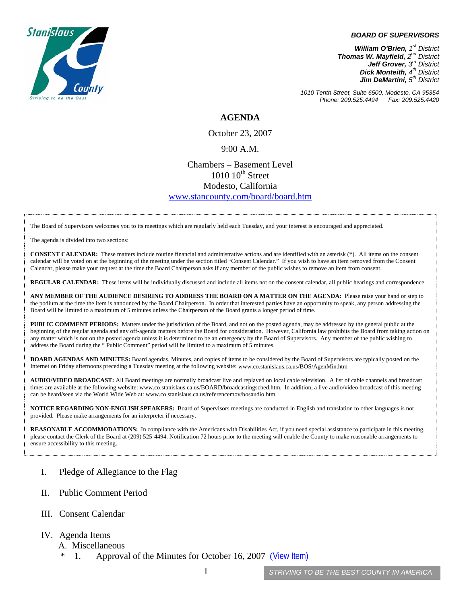## *BOARD OF SUPERVISORS*



*William O'Brien, 1st District Thomas W. Mayfield, 2nd District Jeff Grover, 3rd District Dick Monteith, 4th District Jim DeMartini, 5th District*

*1010 Tenth Street, Suite 6500, Modesto, CA 95354 Phone: 209.525.4494 Fax: 209.525.4420* 

**AGENDA** 

October 23, 2007

## 9:00 A.M.

## Chambers – Basement Level  $1010$   $10^{th}$  Street Modesto, California [www.stancounty.com/board/board.htm](http://www.stancounty.com/board/board.htm)

The Board of Supervisors welcomes you to its meetings which are regularly held each Tuesday, and your interest is encouraged and appreciated.

The agenda is divided into two sections:

**CONSENT CALENDAR:** These matters include routine financial and administrative actions and are identified with an asterisk (\*). All items on the consent calendar will be voted on at the beginning of the meeting under the section titled "Consent Calendar." If you wish to have an item removed from the Consent Calendar, please make your request at the time the Board Chairperson asks if any member of the public wishes to remove an item from consent.

**REGULAR CALENDAR:** These items will be individually discussed and include all items not on the consent calendar, all public hearings and correspondence.

**ANY MEMBER OF THE AUDIENCE DESIRING TO ADDRESS THE BOARD ON A MATTER ON THE AGENDA:** Please raise your hand or step to the podium at the time the item is announced by the Board Chairperson. In order that interested parties have an opportunity to speak, any person addressing the Board will be limited to a maximum of 5 minutes unless the Chairperson of the Board grants a longer period of time.

**PUBLIC COMMENT PERIODS:** Matters under the jurisdiction of the Board, and not on the posted agenda, may be addressed by the general public at the beginning of the regular agenda and any off-agenda matters before the Board for consideration. However, California law prohibits the Board from taking action on any matter which is not on the posted agenda unless it is determined to be an emergency by the Board of Supervisors. Any member of the public wishing to address the Board during the " Public Comment" period will be limited to a maximum of 5 minutes.

**BOARD AGENDAS AND MINUTES:** Board agendas, Minutes, and copies of items to be considered by the Board of Supervisors are typically posted on the Internet on Friday afternoons preceding a Tuesday meeting at the following website: [www.co.stanislaus.ca.us/BOS/AgenMin.htm](http://www.co.stanislaus.ca.us/BOS/AgenMin.htm) 

**AUDIO/VIDEO BROADCAST:** All Board meetings are normally broadcast live and replayed on local cable television. A list of cable channels and broadcast times are available at the following website: [www.co.stanislaus.ca.us/BOARD/broadcastingsched.htm](http://www.co.stanislaus.ca.us/BOARD/broadcastingsched.htm). In addition, a live audio/video broadcast of this meeting can be heard/seen via the World Wide Web at: [www.co.stanislaus.ca.us/referencemov/bosaudio.htm.](http://www.co.stanislaus.ca.us/referencemov/bosaudio.htm)

**NOTICE REGARDING NON-ENGLISH SPEAKERS:** Board of Supervisors meetings are conducted in English and translation to other languages is not provided. Please make arrangements for an interpreter if necessary.

**REASONABLE ACCOMMODATIONS:** In compliance with the Americans with Disabilities Act, if you need special assistance to participate in this meeting, please contact the Clerk of the Board at (209) 525-4494. Notification 72 hours prior to the meeting will enable the County to make reasonable arrangements to ensure accessibility to this meeting.

- I. Pledge of Allegiance to the Flag
- II. Public Comment Period
- III. Consent Calendar
- IV. Agenda Items
	- A. Miscellaneous
		- 1. Approval of the Minutes for October 16, 2007 ([View Item\)](http://www.co.stanislaus.ca.us/bos/minutes/2007/min10-16-07.pdf)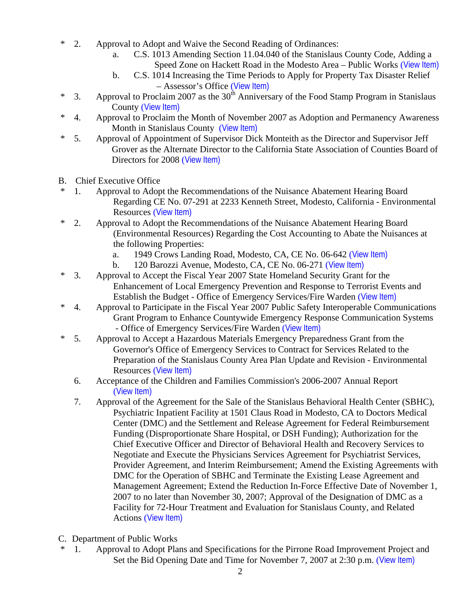- \* 2. Approval to Adopt and Waive the Second Reading of Ordinances:
	- a. C.S. 1013 Amending Section 11.04.040 of the Stanislaus County Code, Adding a Speed Zone on Hackett Road in the Modesto Area – Public Works ([View Item\)](http://www.co.stanislaus.ca.us/bos/agenda/2007/20071023/A02a.pdf)
	- b. C.S. 1014 Increasing the Time Periods to Apply for Property Tax Disaster Relief – Assessor's Office ([View Item\)](http://www.co.stanislaus.ca.us/bos/agenda/2007/20071023/A02b.pdf)
- \* 3. Approval to Proclaim 2007 as the  $30<sup>th</sup>$  Anniversary of the Food Stamp Program in Stanislaus County ([View Item\)](http://www.co.stanislaus.ca.us/bos/agenda/2007/20071023/A03.pdf)
- \* 4. Approval to Proclaim the Month of November 2007 as Adoption and Permanency Awareness Month in Stanislaus County ([View Item\)](http://www.co.stanislaus.ca.us/bos/agenda/2007/20071023/A04.pdf)
- \* 5. Approval of Appointment of Supervisor Dick Monteith as the Director and Supervisor Jeff Grover as the Alternate Director to the California State Association of Counties Board of Directors for 2008 ([View Item\)](http://www.co.stanislaus.ca.us/bos/agenda/2007/20071023/A05.pdf)
- B. Chief Executive Office
- \* 1. Approval to Adopt the Recommendations of the Nuisance Abatement Hearing Board Regarding CE No. 07-291 at 2233 Kenneth Street, Modesto, California - Environmental Resources ([View Item\)](http://www.co.stanislaus.ca.us/bos/agenda/2007/20071023/B01.pdf)
- \* 2. Approval to Adopt the Recommendations of the Nuisance Abatement Hearing Board (Environmental Resources) Regarding the Cost Accounting to Abate the Nuisances at the following Properties:
	- a. 1949 Crows Landing Road, Modesto, CA, CE No. 06-642 ([View Item\)](http://www.co.stanislaus.ca.us/bos/agenda/2007/20071023/B02a.pdf)
	- b. 120 Barozzi Avenue, Modesto, CA, CE No. 06-271 ([View Item\)](http://www.co.stanislaus.ca.us/bos/agenda/2007/20071023/B02b.pdf)
- \* 3. Approval to Accept the Fiscal Year 2007 State Homeland Security Grant for the Enhancement of Local Emergency Prevention and Response to Terrorist Events and Establish the Budget - Office of Emergency Services/Fire Warden ([View Item\)](http://www.co.stanislaus.ca.us/bos/agenda/2007/20071023/B03.pdf)
- \* 4. Approval to Participate in the Fiscal Year 2007 Public Safety Interoperable Communications Grant Program to Enhance Countywide Emergency Response Communication Systems - Office of Emergency Services/Fire Warden ([View Item\)](http://www.co.stanislaus.ca.us/bos/agenda/2007/20071023/B04.pdf)
- \* 5. Approval to Accept a Hazardous Materials Emergency Preparedness Grant from the Governor's Office of Emergency Services to Contract for Services Related to the Preparation of the Stanislaus County Area Plan Update and Revision - Environmental Resources ([View Item\)](http://www.co.stanislaus.ca.us/bos/agenda/2007/20071023/B05.pdf)
	- 6. Acceptance of the Children and Families Commission's 2006-2007 Annual Report ([View Item\)](http://www.co.stanislaus.ca.us/bos/agenda/2007/20071023/B06.pdf)
	- 7. Approval of the Agreement for the Sale of the Stanislaus Behavioral Health Center (SBHC), Psychiatric Inpatient Facility at 1501 Claus Road in Modesto, CA to Doctors Medical Center (DMC) and the Settlement and Release Agreement for Federal Reimbursement Funding (Disproportionate Share Hospital, or DSH Funding); Authorization for the Chief Executive Officer and Director of Behavioral Health and Recovery Services to Negotiate and Execute the Physicians Services Agreement for Psychiatrist Services, Provider Agreement, and Interim Reimbursement; Amend the Existing Agreements with DMC for the Operation of SBHC and Terminate the Existing Lease Agreement and Management Agreement; Extend the Reduction In-Force Effective Date of November 1, 2007 to no later than November 30, 2007; Approval of the Designation of DMC as a Facility for 72-Hour Treatment and Evaluation for Stanislaus County, and Related Actions ([View Item\)](http://www.co.stanislaus.ca.us/bos/agenda/2007/20071023/B07.pdf)
- C. Department of Public Works
- \* 1. Approval to Adopt Plans and Specifications for the Pirrone Road Improvement Project and Set the Bid Opening Date and Time for November 7, 2007 at 2:30 p.m. ([View Item\)](http://www.co.stanislaus.ca.us/bos/agenda/2007/20071023/C01.pdf)